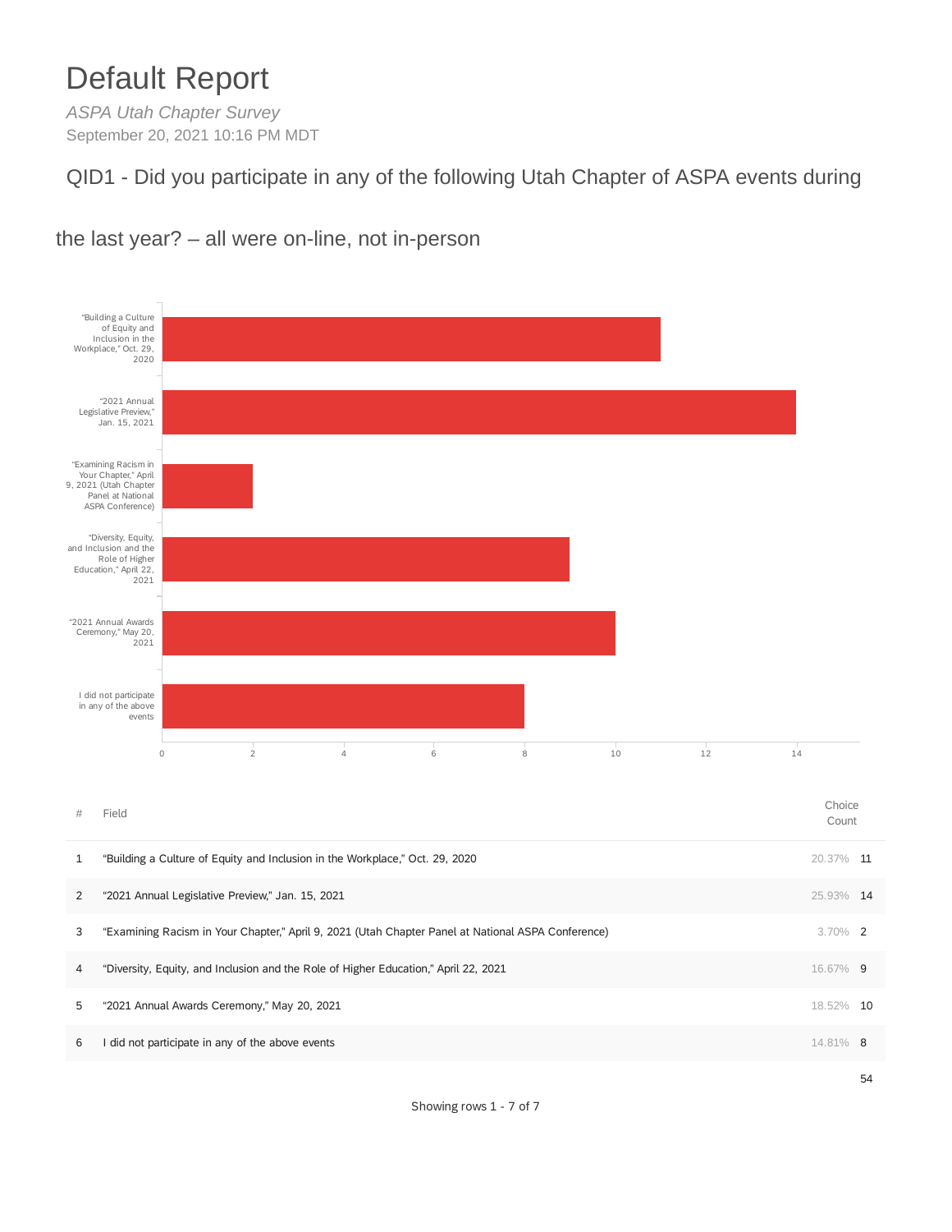# Default Report

*ASPA Utah Chapter Survey* September 20, 2021 10:16 PM MDT

QID1 - Did you participate in any of the following Utah Chapter of ASPA events during



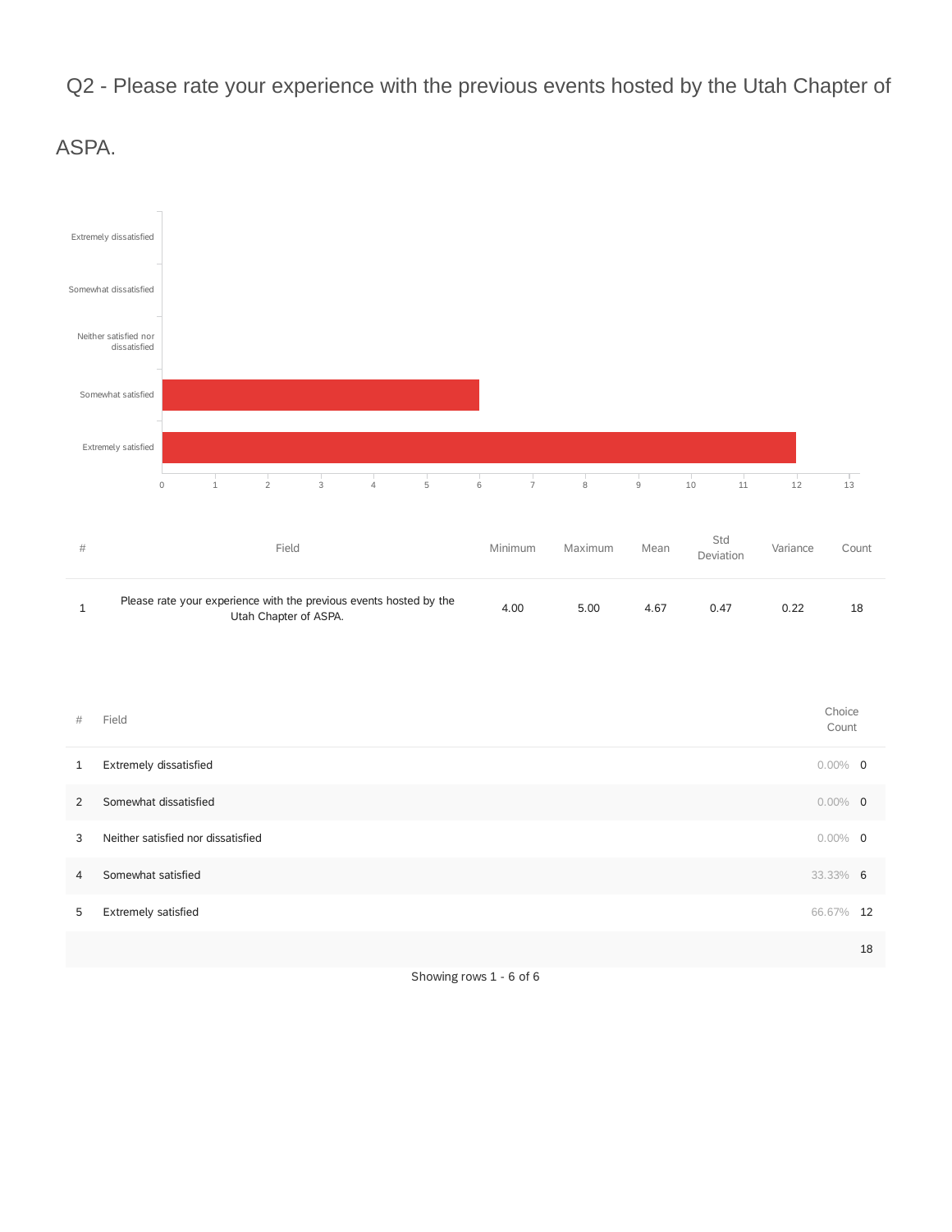Q2 - Please rate your experience with the previous events hosted by the Utah Chapter of



ASPA.

| #              | Field                              | Choice<br>Count |    |
|----------------|------------------------------------|-----------------|----|
| $\mathbf{1}$   | Extremely dissatisfied             | $0.00\%$ 0      |    |
| 2              | Somewhat dissatisfied              | $0.00\%$ 0      |    |
| 3              | Neither satisfied nor dissatisfied | $0.00\%$ 0      |    |
| $\overline{4}$ | Somewhat satisfied                 | 33.33% 6        |    |
| 5              | Extremely satisfied                | 66.67% 12       |    |
|                |                                    |                 | 18 |

Showing rows 1 - 6 of 6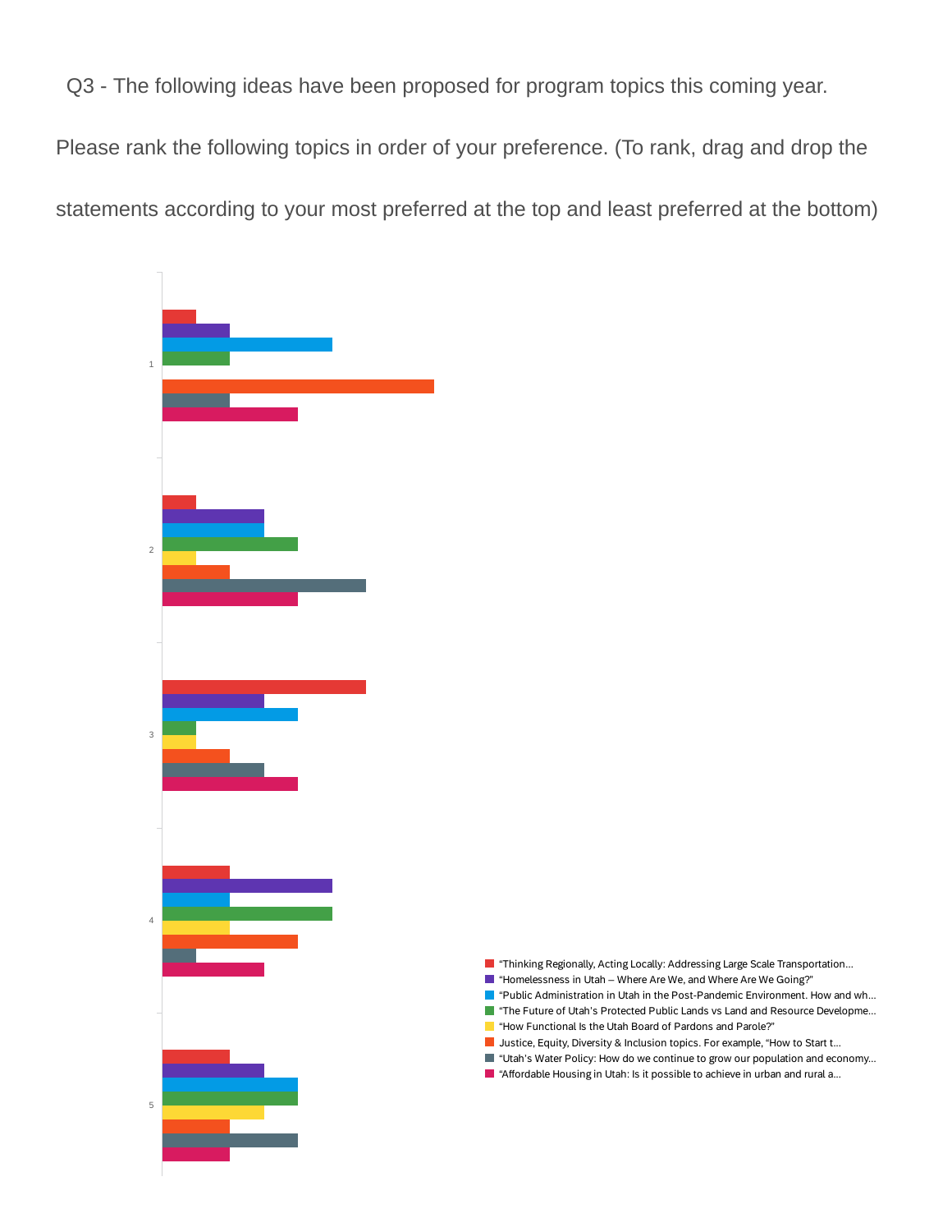Q3 - The following ideas have been proposed for program topics this coming year.

Please rank the following topics in order of your preference. (To rank, drag and drop the statements according to your most preferred at the top and least preferred at the bottom)



- **Thinking Regionally, Acting Locally: Addressing Large Scale Transportation...**
- $\blacksquare$  "Homelessness in Utah Where Are We, and Where Are We Going?"
- **T** "Public Administration in Utah in the Post-Pandemic Environment. How and wh...
- The Future of Utah's Protected Public Lands vs Land and Resource Developme...
- "How Functional Is the Utah Board of Pardons and Parole?" ٦
- **Justice, Equity, Diversity & Inclusion topics. For example, "How to Start t...**
- "Utah's Water Policy: How do we continue to grow our population and economy...
- "Affordable Housing in Utah: Is it possible to achieve in urban and rural a...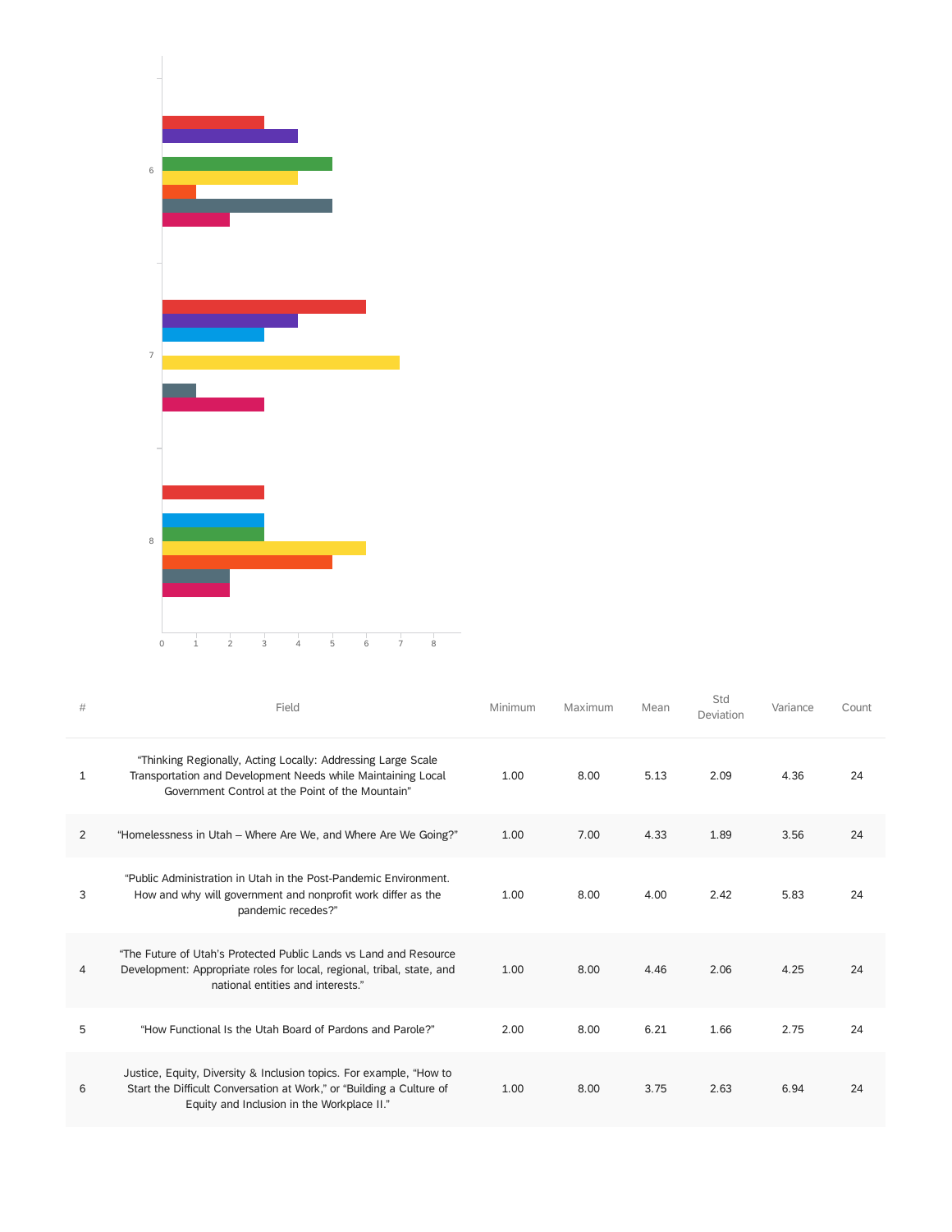

| #              | Field                                                                                                                                                                                     | Minimum | Maximum | Mean | Std<br>Deviation | Variance | Count |
|----------------|-------------------------------------------------------------------------------------------------------------------------------------------------------------------------------------------|---------|---------|------|------------------|----------|-------|
| $\mathbf{1}$   | "Thinking Regionally, Acting Locally: Addressing Large Scale<br>Transportation and Development Needs while Maintaining Local<br>Government Control at the Point of the Mountain"          | 1.00    | 8.00    | 5.13 | 2.09             | 4.36     | 24    |
| $\overline{2}$ | "Homelessness in Utah – Where Are We, and Where Are We Going?"                                                                                                                            | 1.00    | 7.00    | 4.33 | 1.89             | 3.56     | 24    |
| 3              | "Public Administration in Utah in the Post-Pandemic Environment<br>How and why will government and nonprofit work differ as the<br>pandemic recedes?"                                     | 1.00    | 8.00    | 4.00 | 2.42             | 5.83     | 24    |
| 4              | "The Future of Utah's Protected Public Lands vs Land and Resource<br>Development: Appropriate roles for local, regional, tribal, state, and<br>national entities and interests."          | 1.00    | 8.00    | 4.46 | 2.06             | 4.25     | 24    |
| 5              | "How Functional Is the Utah Board of Pardons and Parole?"                                                                                                                                 | 2.00    | 8.00    | 6.21 | 1.66             | 2.75     | 24    |
| 6              | Justice, Equity, Diversity & Inclusion topics. For example, "How to<br>Start the Difficult Conversation at Work," or "Building a Culture of<br>Equity and Inclusion in the Workplace II." | 1.00    | 8.00    | 3.75 | 2.63             | 6.94     | 24    |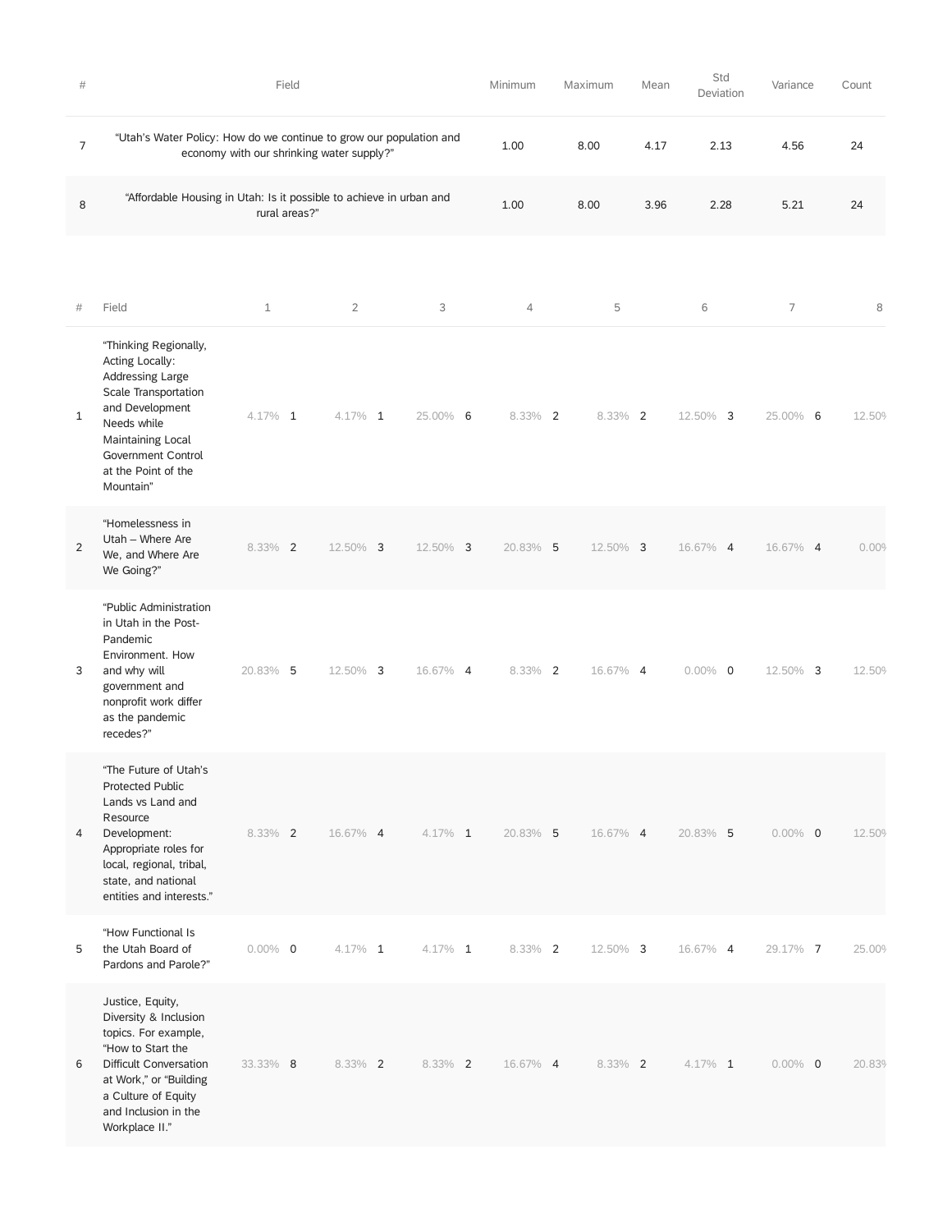| #              |                                                                                                                                                                                                             | Field                                     |                |            | Minimum        | Maximum    | Mean | Std<br>Deviation | Variance   | Count  |
|----------------|-------------------------------------------------------------------------------------------------------------------------------------------------------------------------------------------------------------|-------------------------------------------|----------------|------------|----------------|------------|------|------------------|------------|--------|
| 7              | "Utah's Water Policy: How do we continue to grow our population and                                                                                                                                         | economy with our shrinking water supply?" |                |            | 1.00           | 8.00       | 4.17 | 2.13             | 4.56       | 24     |
| 8              | "Affordable Housing in Utah: Is it possible to achieve in urban and                                                                                                                                         | rural areas?"                             |                |            | 1.00           | 8.00       | 3.96 | 2.28             | 5.21       | 24     |
|                |                                                                                                                                                                                                             |                                           |                |            |                |            |      |                  |            |        |
| $\#$           | Field                                                                                                                                                                                                       | $\mathbf 1$                               | $\overline{2}$ | 3          | $\overline{4}$ | 5          |      | 6                | 7          | 8      |
| $\mathbf{1}$   | "Thinking Regionally,<br>Acting Locally:<br>Addressing Large<br>Scale Transportation<br>and Development<br>Needs while<br>Maintaining Local<br>Government Control<br>at the Point of the<br>Mountain"       | $4.17\%$ 1                                | 4.17% 1        | 25.00% 6   | 8.33% 2        | $8.33\%$ 2 |      | 12.50% 3         | 25.00% 6   | 12.50% |
| $\overline{2}$ | "Homelessness in<br>Utah - Where Are<br>We, and Where Are<br>We Going?"                                                                                                                                     | $8.33\%$ 2                                | 12.50% 3       | 12.50% 3   | 20.83% 5       | 12.50% 3   |      | 16.67% 4         | 16.67% 4   | 0.00%  |
| 3              | "Public Administration<br>in Utah in the Post-<br>Pandemic<br>Environment. How<br>and why will<br>government and<br>nonprofit work differ<br>as the pandemic<br>recedes?"                                   | 20.83% 5                                  | 12.50% 3       | 16.67% 4   | $8.33\%$ 2     | 16.67% 4   |      | $0.00\%$ 0       | 12.50% 3   | 12.50% |
| 4              | "The Future of Utah's<br><b>Protected Public</b><br>Lands vs Land and<br>Resource<br>Development:<br>Appropriate roles for<br>local, regional, tribal,<br>state, and national<br>entities and interests."   | 8.33% 2                                   | 16.67% 4       | $4.17\%$ 1 | 20.83% 5       | 16.67% 4   |      | 20.83% 5         | $0.00\%$ 0 | 12.50% |
| 5              | "How Functional Is<br>the Utah Board of<br>Pardons and Parole?"                                                                                                                                             | $0.00\%$ 0                                | $4.17\%$ 1     | $4.17\%$ 1 | $8.33\%$ 2     | 12.50% 3   |      | 16.67% 4         | 29.17% 7   | 25.00% |
| 6              | Justice, Equity,<br>Diversity & Inclusion<br>topics. For example,<br>"How to Start the<br>Difficult Conversation<br>at Work," or "Building<br>a Culture of Equity<br>and Inclusion in the<br>Workplace II." | 33.33% 8                                  | 8.33% 2        | 8.33% 2    | 16.67% 4       | $8.33\%$ 2 |      | $4.17\%$ 1       | $0.00\%$ 0 | 20.83% |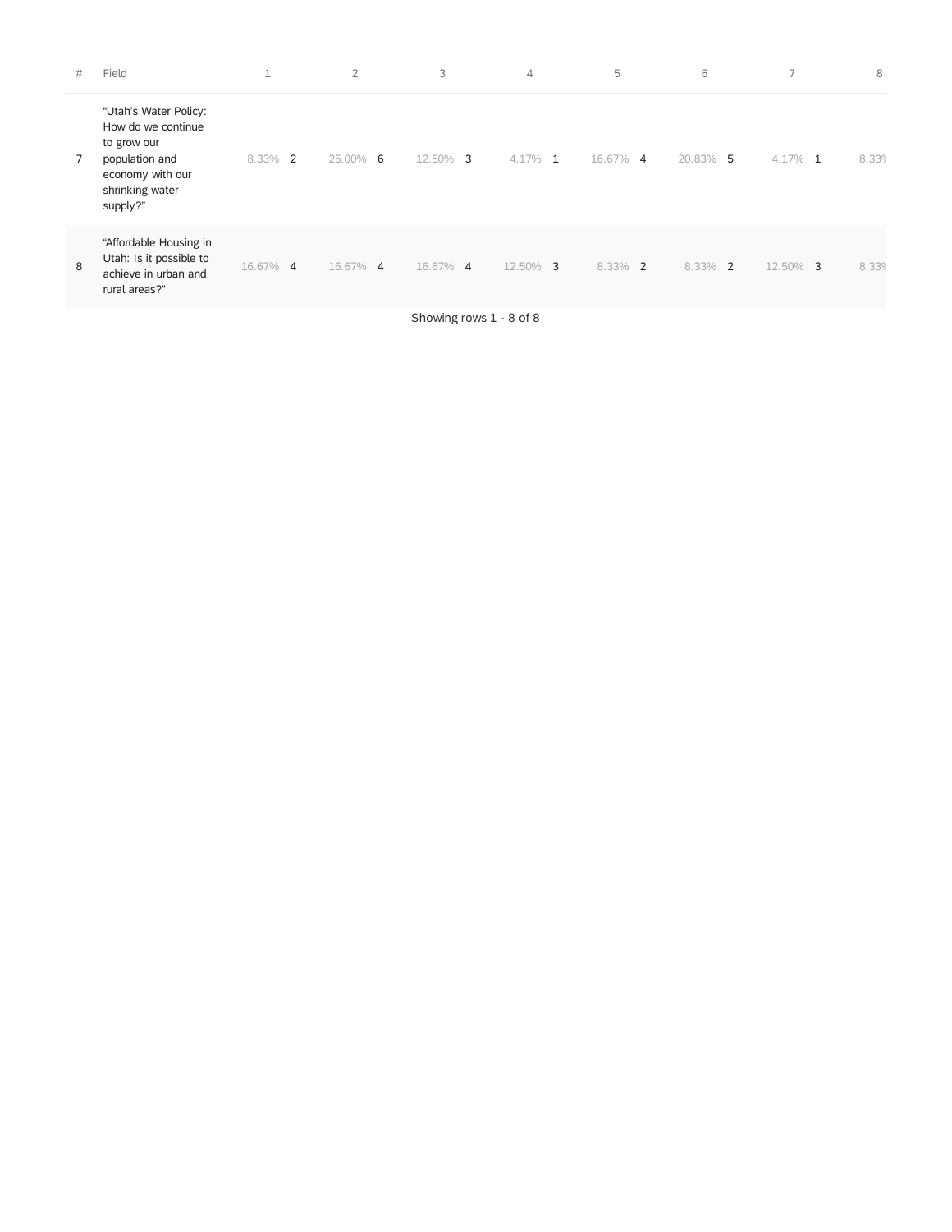| #              | Field                                                                                                                           | $\overline{ }$<br>┸     | $\overline{2}$ | 3                                                | $\overline{4}$ | 5        | 6          | 7          | 8     |
|----------------|---------------------------------------------------------------------------------------------------------------------------------|-------------------------|----------------|--------------------------------------------------|----------------|----------|------------|------------|-------|
| $\overline{7}$ | "Utah's Water Policy:<br>How do we continue<br>to grow our<br>population and<br>economy with our<br>shrinking water<br>supply?" | 8.33%<br>$\overline{2}$ | 25.00% 6       | 12.50% 3                                         | $4.17\%$ 1     | 16.67% 4 | 20.83% 5   | 4.17%<br>1 | 8.339 |
| 8              | "Affordable Housing in<br>Utah: Is it possible to<br>achieve in urban and<br>rural areas?"                                      | 16.67% 4                | 16.67% 4       | 16.67% 4                                         | 12.50% 3       | 8.33% 2  | $8.33\%$ 2 | 12.50% 3   | 8.339 |
|                |                                                                                                                                 |                         |                | $\sim$ $\sim$ $\sim$ $\sim$ $\sim$ $\sim$ $\sim$ |                |          |            |            |       |

Showing rows 1 - 8 of 8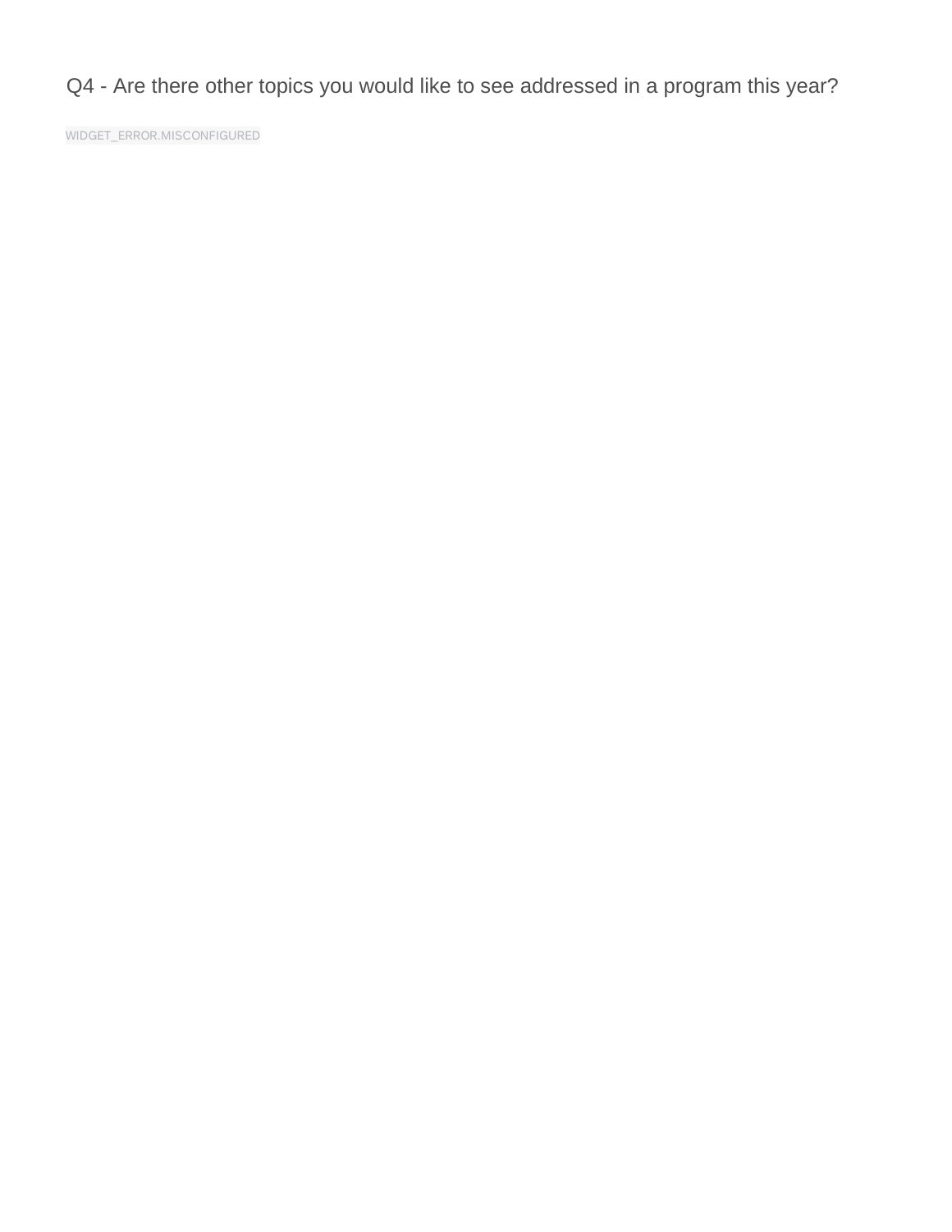Q4 - Are there other topics you would like to see addressed in a program this year?

WIDGET\_ERROR.MISCONFIGURED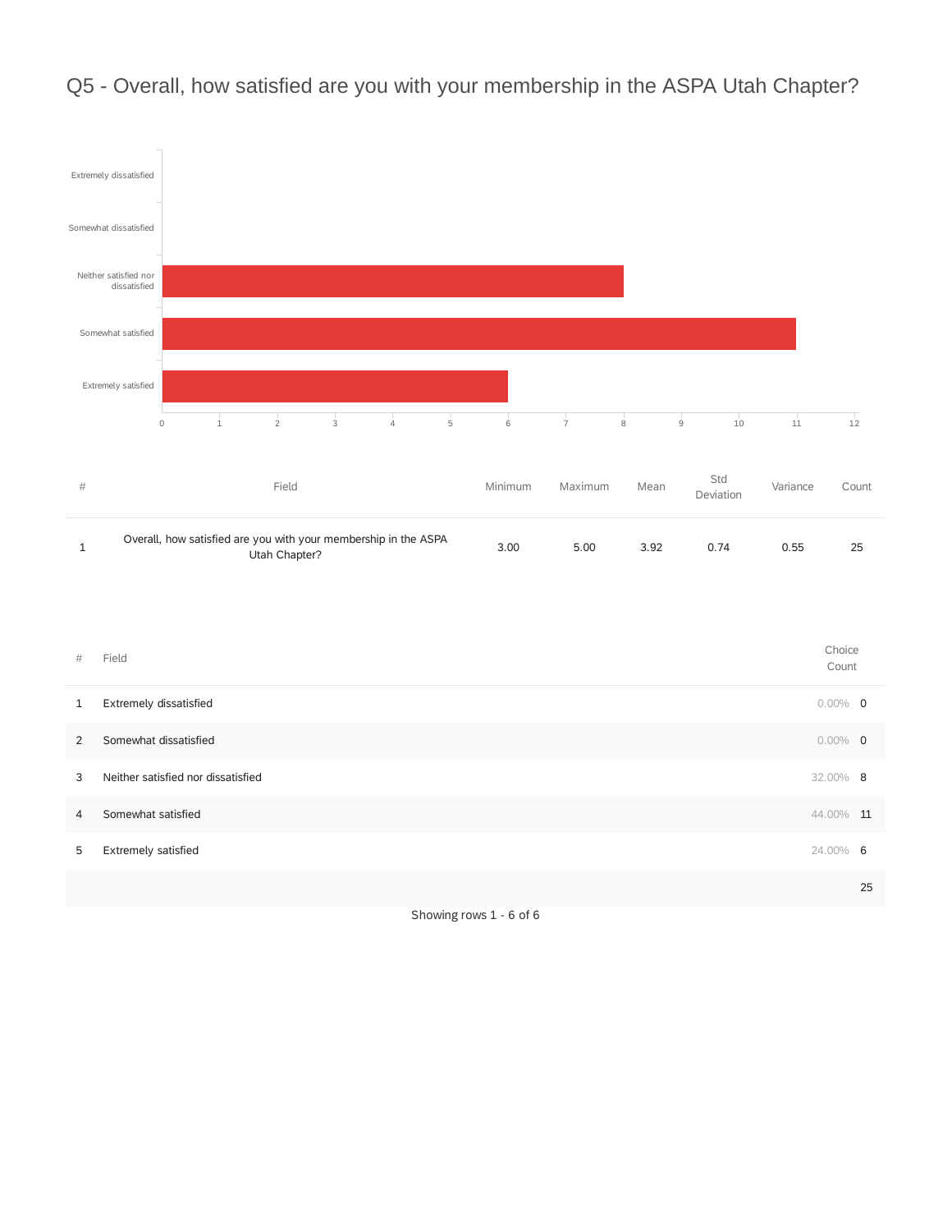

## Q5 - Overall, how satisfied are you with your membership in the ASPA Utah Chapter?

Showing rows 1 - 6 of 6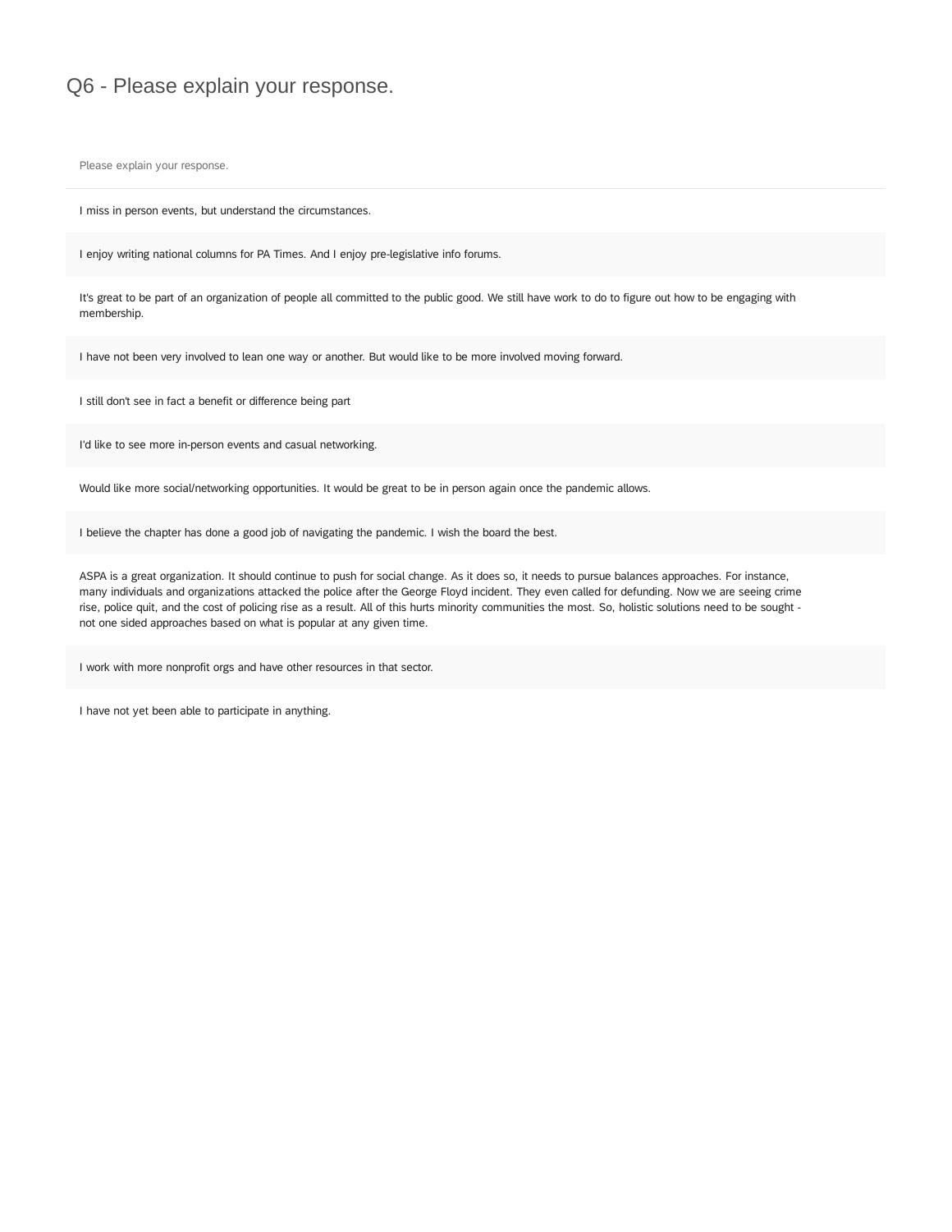### Q6 - Please explain your response.

Please explain your response.

I miss in person events, but understand the circumstances.

I enjoy writing national columns for PA Times. And I enjoy pre-legislative info forums.

It's great to be part of an organization of people all committed to the public good. We still have work to do to figure out how to be engaging with membership.

I have not been very involved to lean one way or another. But would like to be more involved moving forward.

I still don't see in fact a benefit or difference being part

I'd like to see more in-person events and casual networking.

Would like more social/networking opportunities. It would be great to be in person again once the pandemic allows.

I believe the chapter has done a good job of navigating the pandemic. I wish the board the best.

ASPA is a great organization. It should continue to push for social change. As it does so, it needs to pursue balances approaches. For instance, many individuals and organizations attacked the police after the George Floyd incident. They even called for defunding. Now we are seeing crime rise, police quit, and the cost of policing rise as a result. All of this hurts minority communities the most. So, holistic solutions need to be sought not one sided approaches based on what is popular at any given time.

I work with more nonprofit orgs and have other resources in that sector.

I have not yet been able to participate in anything.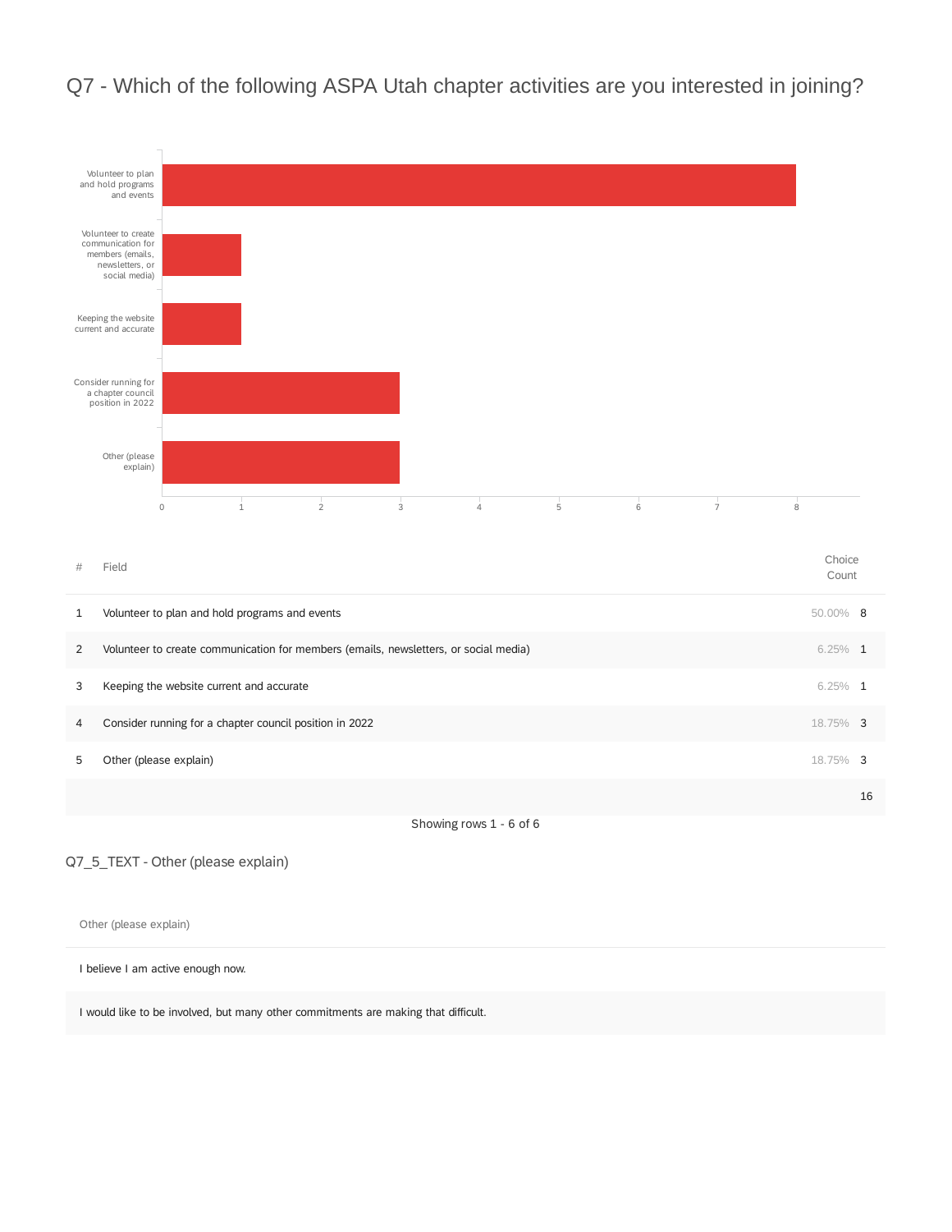



Q7\_5\_TEXT - Other (please explain)

Other (please explain)

I believe I am active enough now.

I would like to be involved, but many other commitments are making that difficult.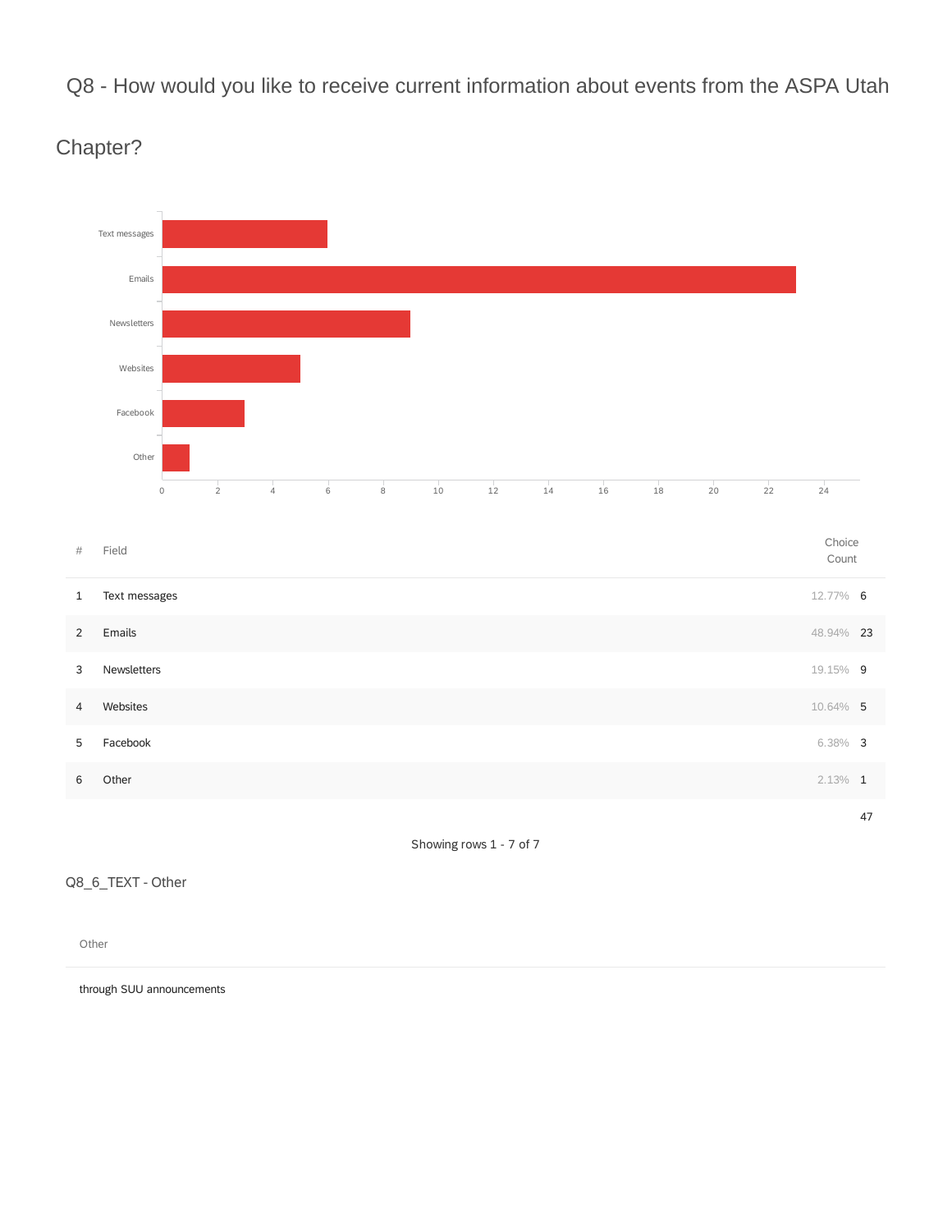Q8 - How would you like to receive current information about events from the ASPA Utah



Chapter?

Showing rows 1 - 7 of 7

Q8\_6\_TEXT - Other

Other

through SUU announcements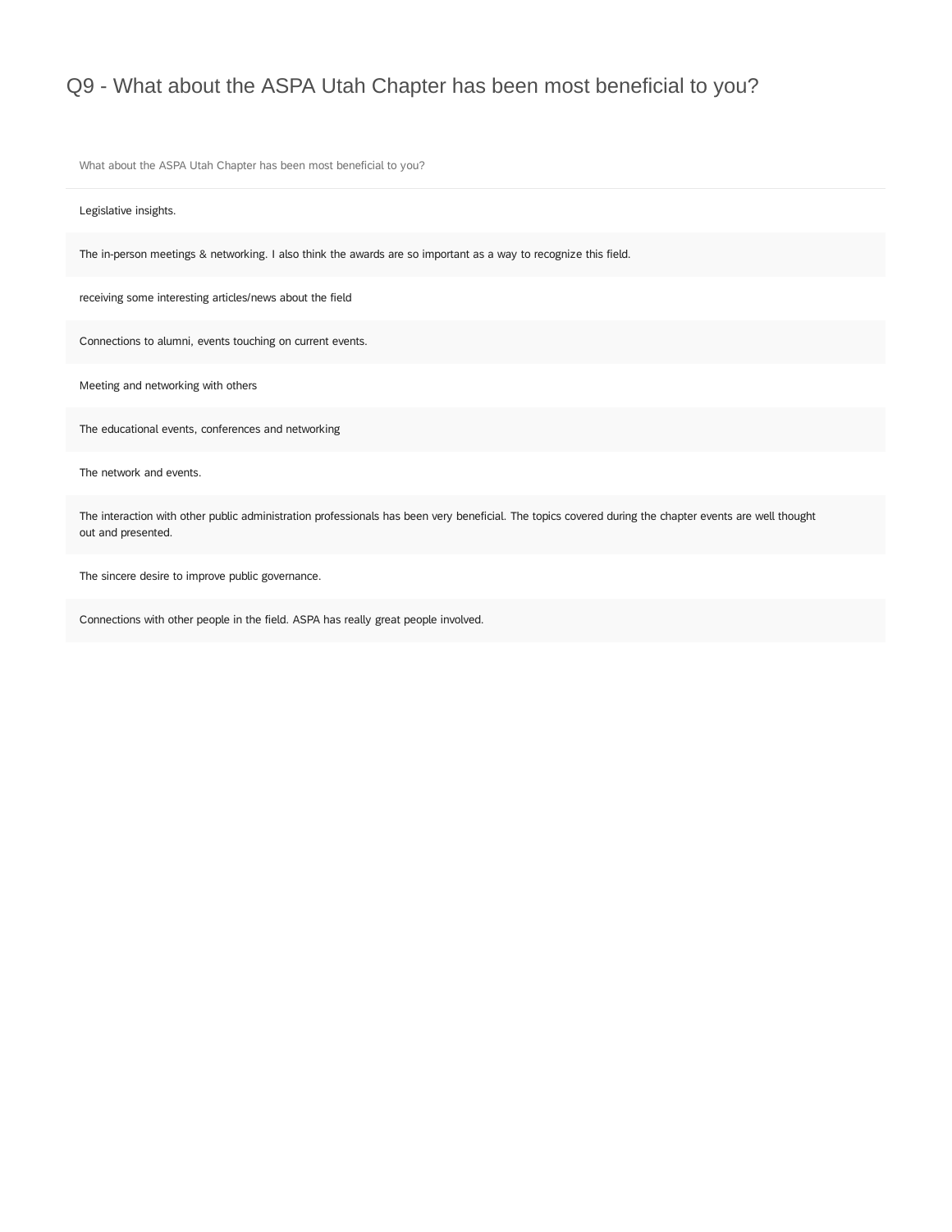## Q9 - What about the ASPA Utah Chapter has been most beneficial to you?

What about the ASPA Utah Chapter has been most beneficial to you?

Legislative insights.

The in-person meetings & networking. I also think the awards are so important as a way to recognize this field.

receiving some interesting articles/news about the field

Connections to alumni, events touching on current events.

Meeting and networking with others

The educational events, conferences and networking

The network and events.

The interaction with other public administration professionals has been very beneficial. The topics covered during the chapter events are well thought out and presented.

The sincere desire to improve public governance.

Connections with other people in the field. ASPA has really great people involved.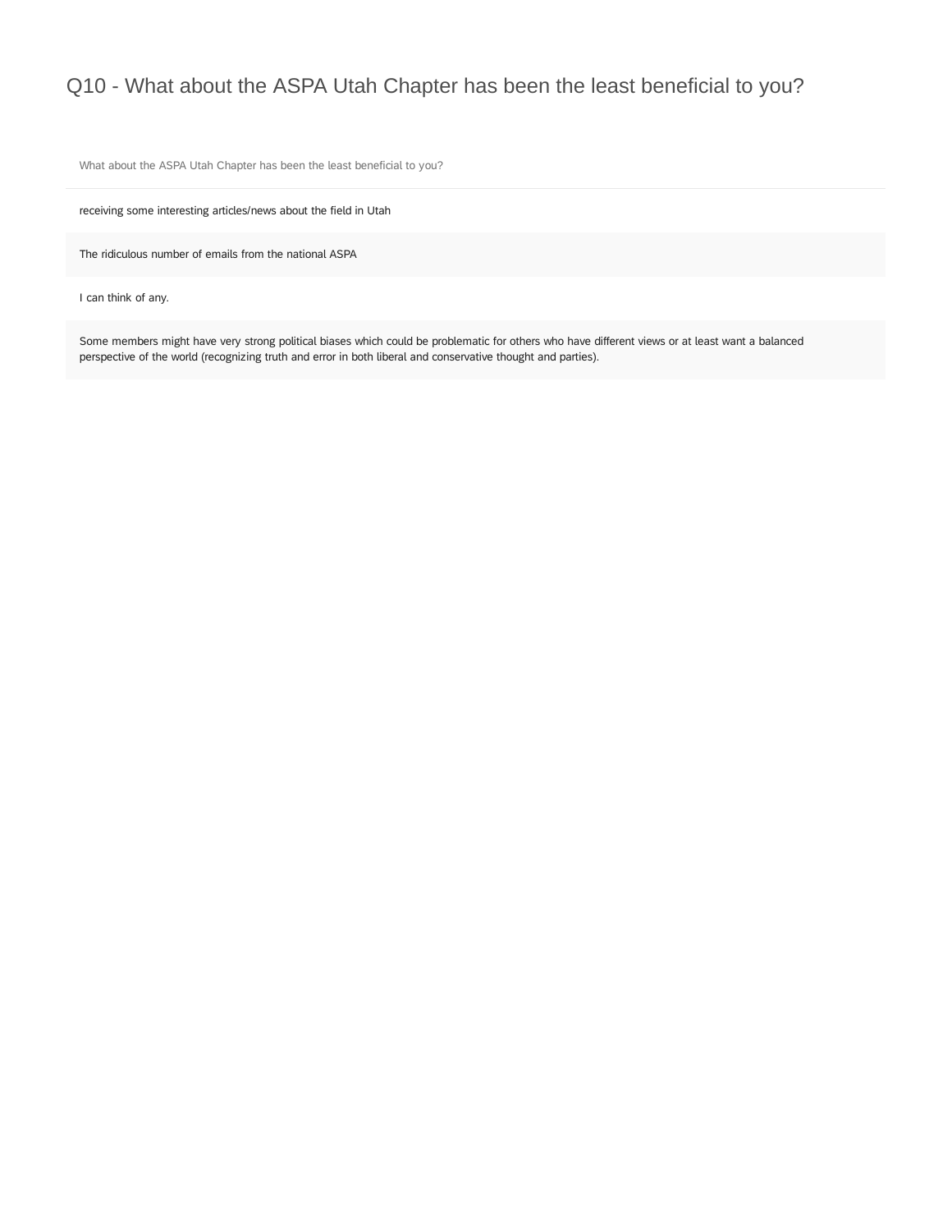## Q10 - What about the ASPA Utah Chapter has been the least beneficial to you?

What about the ASPA Utah Chapter has been the least beneficial to you?

receiving some interesting articles/news about the field in Utah

The ridiculous number of emails from the national ASPA

I can think of any.

Some members might have very strong political biases which could be problematic for others who have different views or at least want a balanced perspective of the world (recognizing truth and error in both liberal and conservative thought and parties).